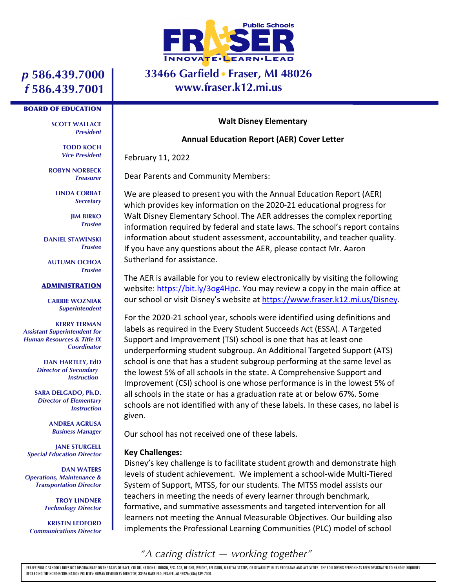

# **33466 Garfield Fraser, MI 48026 www.fraser.k12.mi.us**

# *p* **586.439.7000** *f* **586.439.7001**

#### BOARD OF EDUCATION

**SCOTT WALLACE** *President*

> **TODD KOCH** *Vice President*

**ROBYN NORBECK** *Treasurer*

> **LINDA CORBAT** *Secretary*

> > **JIM BIRKO** *Trustee*

**DANIEL STAWINSKI** *Trustee*

**AUTUMN OCHOA** *Trustee*

#### ADMINISTRATION

**CARRIE WOZNIAK** *Superintendent*

**KERRY TERMAN** *Assistant Superintendent for Human Resources & Title IX Coordinator*

> **DAN HARTLEY, EdD** *Director of Secondary Instruction*

**SARA DELGADO, Ph.D.** *Director of Elementary Instruction*

> **ANDREA AGRUSA** *Business Manager*

**JANE STURGELL** *Special Education Director*

**DAN WATERS** *Operations, Maintenance & Transportation Director*

> **TROY LINDNER** *Technology Director*

**KRISTIN LEDFORD** *Communications Director*

#### **Walt Disney Elementary**

#### **Annual Education Report (AER) Cover Letter**

February 11, 2022

Dear Parents and Community Members:

We are pleased to present you with the Annual Education Report (AER) which provides key information on the 2020-21 educational progress for Walt Disney Elementary School. The AER addresses the complex reporting information required by federal and state laws. The school's report contains information about student assessment, accountability, and teacher quality. If you have any questions about the AER, please contact Mr. Aaron Sutherland for assistance.

The AER is available for you to review electronically by visiting the following website: https://bit.ly/3og4Hpc. You may review a copy in the main office at our school or visit Disney's website at https://www.fraser.k12.mi.us/Disney.

For the 2020-21 school year, schools were identified using definitions and labels as required in the Every Student Succeeds Act (ESSA). A Targeted Support and Improvement (TSI) school is one that has at least one underperforming student subgroup. An Additional Targeted Support (ATS) school is one that has a student subgroup performing at the same level as the lowest 5% of all schools in the state. A Comprehensive Support and Improvement (CSI) school is one whose performance is in the lowest 5% of all schools in the state or has a graduation rate at or below 67%. Some schools are not identified with any of these labels. In these cases, no label is given.

Our school has not received one of these labels.

#### **Key Challenges:**

Disney's key challenge is to facilitate student growth and demonstrate high levels of student achievement. We implement a school-wide Multi-Tiered System of Support, MTSS, for our students. The MTSS model assists our teachers in meeting the needs of every learner through benchmark, formative, and summative assessments and targeted intervention for all learners not meeting the Annual Measurable Objectives. Our building also implements the Professional Learning Communities (PLC) model of school

*"A caring district — working together"*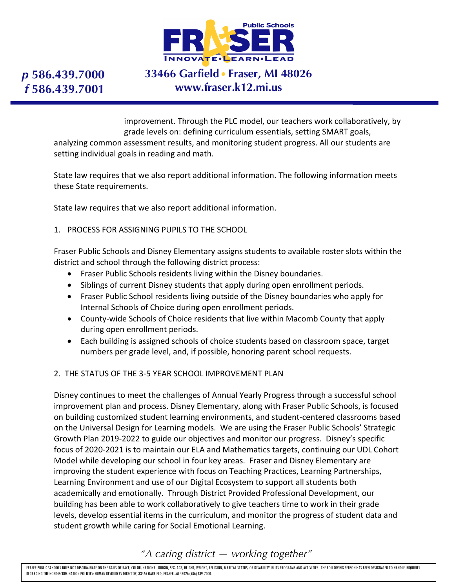

# *p* **586.439.7000** *f* **586.439.7001**

# **33466 Garfield Fraser, MI 48026 www.fraser.k12.mi.us**

improvement. Through the PLC model, our teachers work collaboratively, by grade levels on: defining curriculum essentials, setting SMART goals, analyzing common assessment results, and monitoring student progress. All our students are setting individual goals in reading and math.

State law requires that we also report additional information. The following information meets these State requirements.

State law requires that we also report additional information.

#### 1. PROCESS FOR ASSIGNING PUPILS TO THE SCHOOL

Fraser Public Schools and Disney Elementary assigns students to available roster slots within the district and school through the following district process:

- Fraser Public Schools residents living within the Disney boundaries.
- Siblings of current Disney students that apply during open enrollment periods.
- Fraser Public School residents living outside of the Disney boundaries who apply for Internal Schools of Choice during open enrollment periods.
- County-wide Schools of Choice residents that live within Macomb County that apply during open enrollment periods.
- Each building is assigned schools of choice students based on classroom space, target numbers per grade level, and, if possible, honoring parent school requests.

### 2. THE STATUS OF THE 3-5 YEAR SCHOOL IMPROVEMENT PLAN

Disney continues to meet the challenges of Annual Yearly Progress through a successful school improvement plan and process. Disney Elementary, along with Fraser Public Schools, is focused on building customized student learning environments, and student-centered classrooms based on the Universal Design for Learning models. We are using the Fraser Public Schools' Strategic Growth Plan 2019-2022 to guide our objectives and monitor our progress. Disney's specific focus of 2020-2021 is to maintain our ELA and Mathematics targets, continuing our UDL Cohort Model while developing our school in four key areas. Fraser and Disney Elementary are improving the student experience with focus on Teaching Practices, Learning Partnerships, Learning Environment and use of our Digital Ecosystem to support all students both academically and emotionally. Through District Provided Professional Development, our building has been able to work collaboratively to give teachers time to work in their grade levels, develop essential items in the curriculum, and monitor the progress of student data and student growth while caring for Social Emotional Learning.

## *"A caring district — working together"*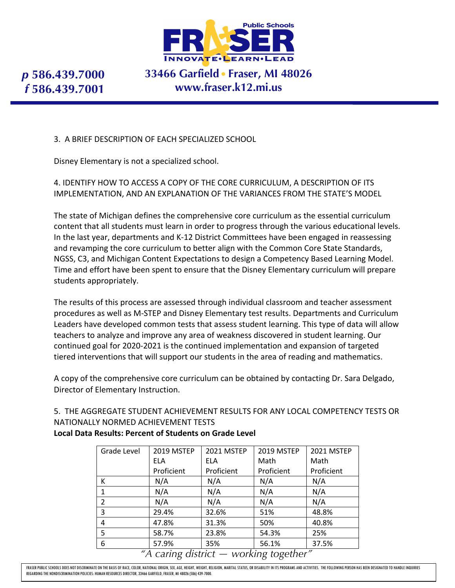

*p* **586.439.7000** *f* **586.439.7001**

# **33466 Garfield Fraser, MI 48026 www.fraser.k12.mi.us**

## 3. A BRIEF DESCRIPTION OF EACH SPECIALIZED SCHOOL

Disney Elementary is not a specialized school.

## 4. IDENTIFY HOW TO ACCESS A COPY OF THE CORE CURRICULUM, A DESCRIPTION OF ITS IMPLEMENTATION, AND AN EXPLANATION OF THE VARIANCES FROM THE STATE'S MODEL

The state of Michigan defines the comprehensive core curriculum as the essential curriculum content that all students must learn in order to progress through the various educational levels. In the last year, departments and K-12 District Committees have been engaged in reassessing and revamping the core curriculum to better align with the Common Core State Standards, NGSS, C3, and Michigan Content Expectations to design a Competency Based Learning Model. Time and effort have been spent to ensure that the Disney Elementary curriculum will prepare students appropriately.

The results of this process are assessed through individual classroom and teacher assessment procedures as well as M-STEP and Disney Elementary test results. Departments and Curriculum Leaders have developed common tests that assess student learning. This type of data will allow teachers to analyze and improve any area of weakness discovered in student learning. Our continued goal for 2020-2021 is the continued implementation and expansion of targeted tiered interventions that will support our students in the area of reading and mathematics.

A copy of the comprehensive core curriculum can be obtained by contacting Dr. Sara Delgado, Director of Elementary Instruction.

## 5. THE AGGREGATE STUDENT ACHIEVEMENT RESULTS FOR ANY LOCAL COMPETENCY TESTS OR NATIONALLY NORMED ACHIEVEMENT TESTS

| Grade Level                            | 2019 MSTEP | 2021 MSTEP | 2019 MSTEP | 2021 MSTEP |
|----------------------------------------|------------|------------|------------|------------|
|                                        | <b>ELA</b> | <b>ELA</b> | Math       | Math       |
|                                        | Proficient | Proficient | Proficient | Proficient |
| К                                      | N/A        | N/A        | N/A        | N/A        |
| 1                                      | N/A        | N/A        | N/A        | N/A        |
| $\overline{2}$                         | N/A        | N/A        | N/A        | N/A        |
| 3                                      | 29.4%      | 32.6%      | 51%        | 48.8%      |
| 4                                      | 47.8%      | 31.3%      | 50%        | 40.8%      |
| 5                                      | 58.7%      | 23.8%      | 54.3%      | 25%        |
| 6                                      | 57.9%      | 35%        | 56.1%      | 37.5%      |
| "A caring district - working together" |            |            |            |            |

### **Local Data Results: Percent of Students on Grade Level**